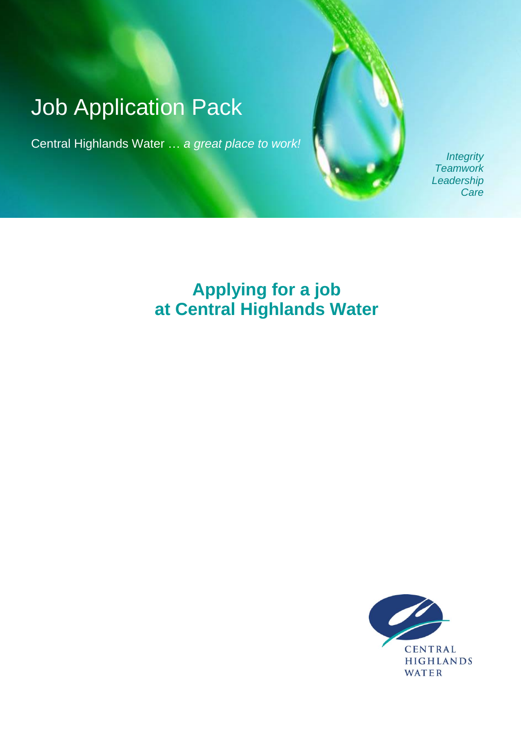# Job Application Pack

Central Highlands Water … *a great place to work!*

*Integrity Teamwork Leadership Care*

## **Applying for a job at Central Highlands Water**

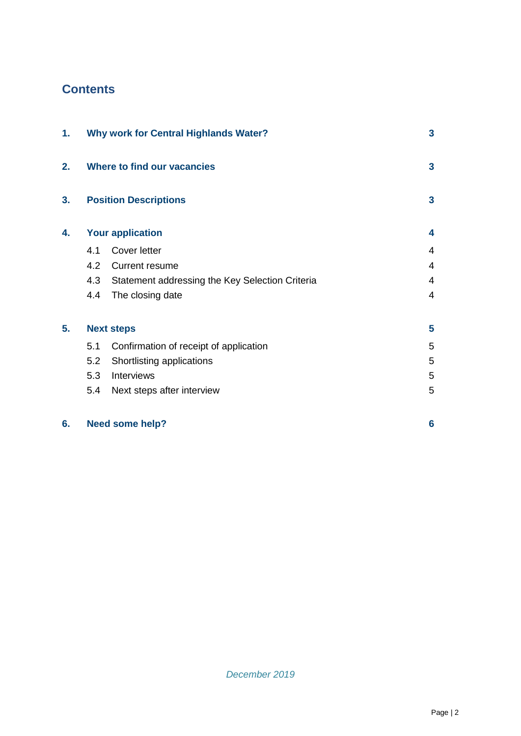## **Contents**

| 1. |                             | <b>Why work for Central Highlands Water?</b>    | 3              |
|----|-----------------------------|-------------------------------------------------|----------------|
| 2. | Where to find our vacancies |                                                 | 3              |
| 3. |                             | <b>Position Descriptions</b>                    | 3              |
| 4. | <b>Your application</b>     |                                                 | 4              |
|    | 4.1                         | Cover letter                                    | 4              |
|    | 4.2                         | <b>Current resume</b>                           | $\overline{4}$ |
|    | 4.3                         | Statement addressing the Key Selection Criteria | 4              |
|    | 4.4                         | The closing date                                | 4              |
| 5. | <b>Next steps</b>           |                                                 | 5              |
|    | 5.1                         | Confirmation of receipt of application          | 5              |
|    | 5.2                         | Shortlisting applications                       | 5              |
|    | 5.3                         | Interviews                                      | 5              |
|    | 5.4                         | Next steps after interview                      | 5              |
|    |                             |                                                 |                |

## **6. [Need some help?](#page-5-0) 6**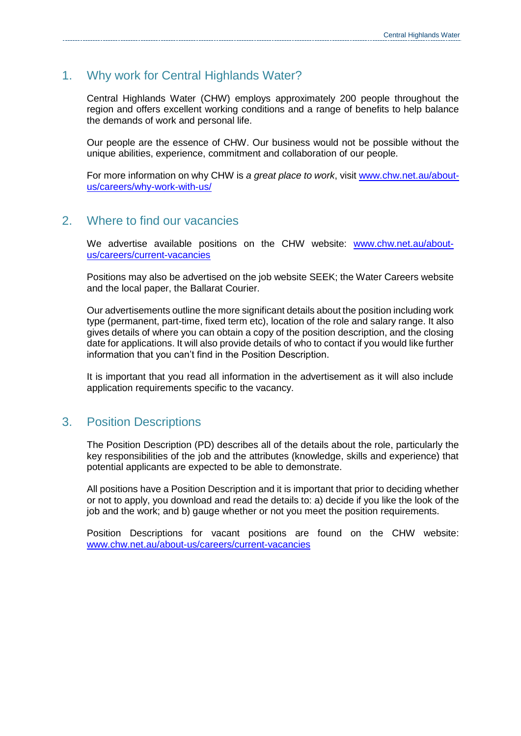## <span id="page-2-0"></span>1. Why work for Central Highlands Water?

Central Highlands Water (CHW) employs approximately 200 people throughout the region and offers excellent working conditions and a range of benefits to help balance the demands of work and personal life.

Our people are the essence of CHW. Our business would not be possible without the unique abilities, experience, commitment and collaboration of our people.

For more information on why CHW is *a great place to work*, visit [www.chw.net.au/about](http://www.chw.net.au/about-us/careers/why-work-with-us/)[us/careers/why-work-with-us/](http://www.chw.net.au/about-us/careers/why-work-with-us/)

## <span id="page-2-1"></span>2. Where to find our vacancies

We advertise available positions on the CHW website: [www.chw.net.au/about](http://www.chw.net.au/about-us/careers/current-vacancies)[us/careers/current-vacancies](http://www.chw.net.au/about-us/careers/current-vacancies)

Positions may also be advertised on the job website SEEK; the Water Careers website and the local paper, the Ballarat Courier.

Our advertisements outline the more significant details about the position including work type (permanent, part-time, fixed term etc), location of the role and salary range. It also gives details of where you can obtain a copy of the position description, and the closing date for applications. It will also provide details of who to contact if you would like further information that you can't find in the Position Description.

It is important that you read all information in the advertisement as it will also include application requirements specific to the vacancy.

## <span id="page-2-2"></span>3. Position Descriptions

The Position Description (PD) describes all of the details about the role, particularly the key responsibilities of the job and the attributes (knowledge, skills and experience) that potential applicants are expected to be able to demonstrate.

All positions have a Position Description and it is important that prior to deciding whether or not to apply, you download and read the details to: a) decide if you like the look of the job and the work; and b) gauge whether or not you meet the position requirements.

Position Descriptions for vacant positions are found on the CHW website: [www.chw.net.au/about-us/careers/current-vacancies](https://www.chw.net.au/career/current-vacancies)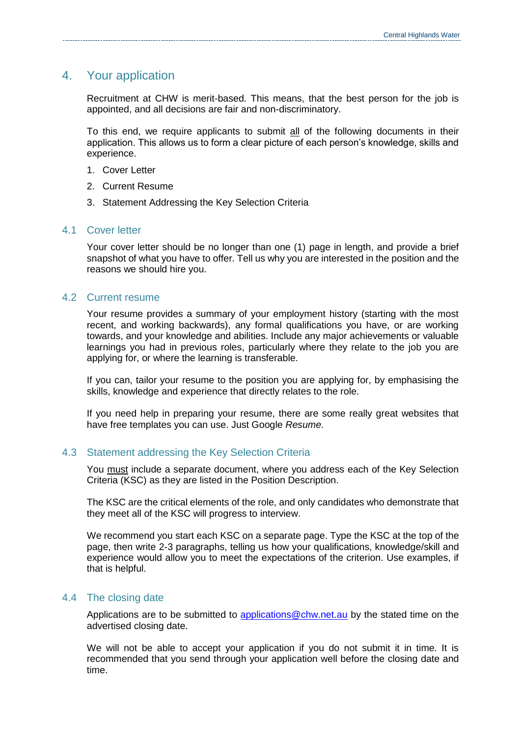## <span id="page-3-0"></span>4. Your application

Recruitment at CHW is merit-based. This means, that the best person for the job is appointed, and all decisions are fair and non-discriminatory.

To this end, we require applicants to submit all of the following documents in their application. This allows us to form a clear picture of each person's knowledge, skills and experience.

- 1. Cover Letter
- 2. Current Resume
- 3. Statement Addressing the Key Selection Criteria

#### <span id="page-3-1"></span>4.1 Cover letter

Your cover letter should be no longer than one (1) page in length, and provide a brief snapshot of what you have to offer. Tell us why you are interested in the position and the reasons we should hire you.

#### <span id="page-3-2"></span>4.2 Current resume

Your resume provides a summary of your employment history (starting with the most recent, and working backwards), any formal qualifications you have, or are working towards, and your knowledge and abilities. Include any major achievements or valuable learnings you had in previous roles, particularly where they relate to the job you are applying for, or where the learning is transferable.

If you can, tailor your resume to the position you are applying for, by emphasising the skills, knowledge and experience that directly relates to the role.

If you need help in preparing your resume, there are some really great websites that have free templates you can use. Just Google *Resume.*

#### <span id="page-3-3"></span>4.3 Statement addressing the Key Selection Criteria

You must include a separate document, where you address each of the Key Selection Criteria (KSC) as they are listed in the Position Description.

The KSC are the critical elements of the role, and only candidates who demonstrate that they meet all of the KSC will progress to interview.

We recommend you start each KSC on a separate page. Type the KSC at the top of the page, then write 2-3 paragraphs, telling us how your qualifications, knowledge/skill and experience would allow you to meet the expectations of the criterion. Use examples, if that is helpful.

#### <span id="page-3-4"></span>4.4 The closing date

Applications are to be submitted to [applications@chw.net.au](mailto:applications@chw.net.au) by the stated time on the advertised closing date.

We will not be able to accept your application if you do not submit it in time. It is recommended that you send through your application well before the closing date and time.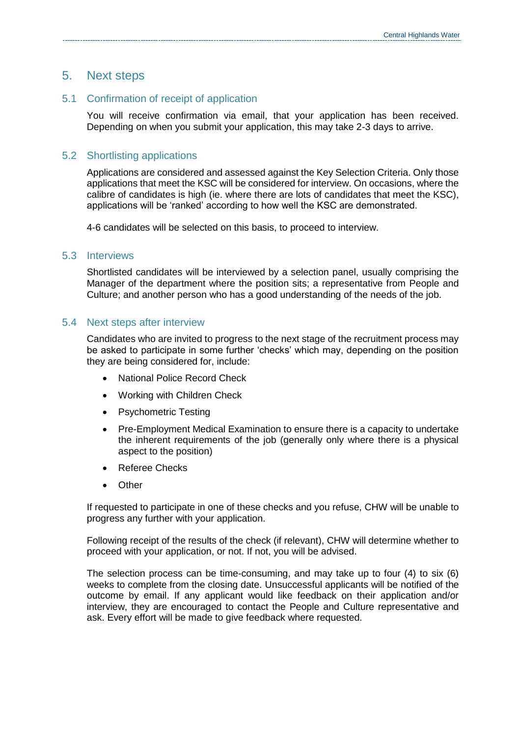### <span id="page-4-0"></span>5. Next steps

#### <span id="page-4-1"></span>5.1 Confirmation of receipt of application

You will receive confirmation via email, that your application has been received. Depending on when you submit your application, this may take 2-3 days to arrive.

#### <span id="page-4-2"></span>5.2 Shortlisting applications

Applications are considered and assessed against the Key Selection Criteria. Only those applications that meet the KSC will be considered for interview. On occasions, where the calibre of candidates is high (ie. where there are lots of candidates that meet the KSC), applications will be 'ranked' according to how well the KSC are demonstrated.

4-6 candidates will be selected on this basis, to proceed to interview.

#### <span id="page-4-3"></span>5.3 Interviews

Shortlisted candidates will be interviewed by a selection panel, usually comprising the Manager of the department where the position sits; a representative from People and Culture; and another person who has a good understanding of the needs of the job.

#### <span id="page-4-4"></span>5.4 Next steps after interview

Candidates who are invited to progress to the next stage of the recruitment process may be asked to participate in some further 'checks' which may, depending on the position they are being considered for, include:

- National Police Record Check
- Working with Children Check
- Psychometric Testing
- Pre-Employment Medical Examination to ensure there is a capacity to undertake the inherent requirements of the job (generally only where there is a physical aspect to the position)
- Referee Checks
- **Other**

If requested to participate in one of these checks and you refuse, CHW will be unable to progress any further with your application.

Following receipt of the results of the check (if relevant), CHW will determine whether to proceed with your application, or not. If not, you will be advised.

The selection process can be time-consuming, and may take up to four (4) to six (6) weeks to complete from the closing date. Unsuccessful applicants will be notified of the outcome by email. If any applicant would like feedback on their application and/or interview, they are encouraged to contact the People and Culture representative and ask. Every effort will be made to give feedback where requested.